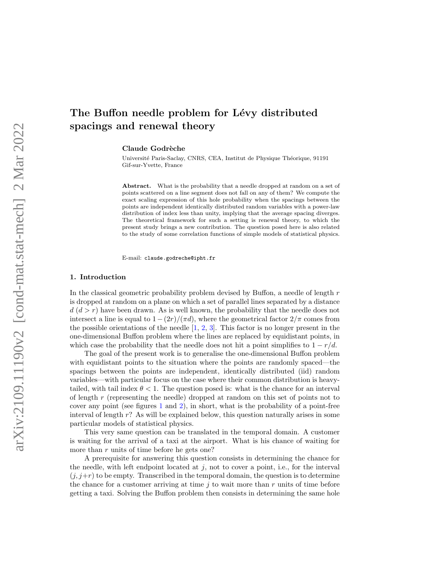# The Buffon needle problem for Lévy distributed spacings and renewal theory

Claude Godrèche

Université Paris-Saclay, CNRS, CEA, Institut de Physique Théorique, 91191 Gif-sur-Yvette, France

Abstract. What is the probability that a needle dropped at random on a set of points scattered on a line segment does not fall on any of them? We compute the exact scaling expression of this hole probability when the spacings between the points are independent identically distributed random variables with a power-law distribution of index less than unity, implying that the average spacing diverges. The theoretical framework for such a setting is renewal theory, to which the present study brings a new contribution. The question posed here is also related to the study of some correlation functions of simple models of statistical physics.

E-mail: claude.godreche@ipht.fr

#### 1. Introduction

In the classical geometric probability problem devised by Buffon, a needle of length r is dropped at random on a plane on which a set of parallel lines separated by a distance  $d (d > r)$  have been drawn. As is well known, the probability that the needle does not intersect a line is equal to  $1 - (2r)/(\pi d)$ , where the geometrical factor  $2/\pi$  comes from the possible orientations of the needle  $[1, 2, 3]$  $[1, 2, 3]$  $[1, 2, 3]$  $[1, 2, 3]$ . This factor is no longer present in the one-dimensional Buffon problem where the lines are replaced by equidistant points, in which case the probability that the needle does not hit a point simplifies to  $1 - r/d$ .

The goal of the present work is to generalise the one-dimensional Buffon problem with equidistant points to the situation where the points are randomly spaced—the spacings between the points are independent, identically distributed (iid) random variables—with particular focus on the case where their common distribution is heavytailed, with tail index  $\theta$  < 1. The question posed is: what is the chance for an interval of length r (representing the needle) dropped at random on this set of points not to cover any point (see figures [1](#page-2-0) and [2\)](#page-2-1), in short, what is the probability of a point-free interval of length  $r$ ? As will be explained below, this question naturally arises in some particular models of statistical physics.

This very same question can be translated in the temporal domain. A customer is waiting for the arrival of a taxi at the airport. What is his chance of waiting for more than r units of time before he gets one?

A prerequisite for answering this question consists in determining the chance for the needle, with left endpoint located at  $j$ , not to cover a point, i.e., for the interval  $(j, j+r)$  to be empty. Transcribed in the temporal domain, the question is to determine the chance for a customer arriving at time  $j$  to wait more than r units of time before getting a taxi. Solving the Buffon problem then consists in determining the same hole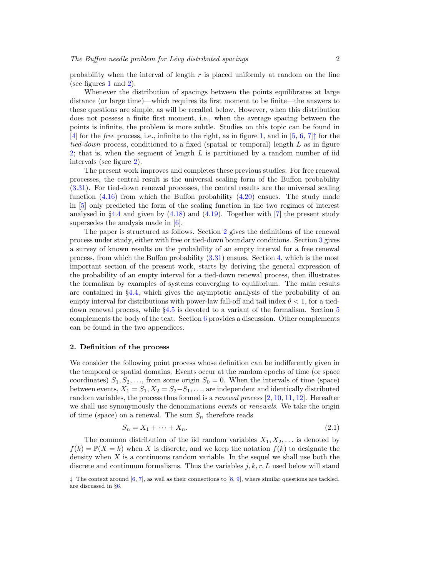probability when the interval of length  $r$  is placed uniformly at random on the line (see figures [1](#page-2-0) and [2\)](#page-2-1).

Whenever the distribution of spacings between the points equilibrates at large distance (or large time)—which requires its first moment to be finite—the answers to these questions are simple, as will be recalled below. However, when this distribution does not possess a finite first moment, i.e., when the average spacing between the points is infinite, the problem is more subtle. Studies on this topic can be found in [\[4\]](#page-19-3) for the *free* process, i.e., infinite to the right, as in figure [1,](#page-2-0) and in [\[5,](#page-19-4) [6,](#page-19-5) [7\]](#page-19-6) $\ddagger$  for the tied-down process, conditioned to a fixed (spatial or temporal) length L as in figure [2;](#page-2-1) that is, when the segment of length  $L$  is partitioned by a random number of iid intervals (see figure [2\)](#page-2-1).

The present work improves and completes these previous studies. For free renewal processes, the central result is the universal scaling form of the Buffon probability [\(3.31\)](#page-9-0). For tied-down renewal processes, the central results are the universal scaling function  $(4.16)$  from which the Buffon probability  $(4.20)$  ensues. The study made in [\[5\]](#page-19-4) only predicted the form of the scaling function in the two regimes of interest analysed in §[4.4](#page-12-0) and given by  $(4.18)$  and  $(4.19)$ . Together with [\[7\]](#page-19-6) the present study supersedes the analysis made in [\[6\]](#page-19-5).

The paper is structured as follows. Section [2](#page-1-1) gives the definitions of the renewal process under study, either with free or tied-down boundary conditions. Section [3](#page-4-0) gives a survey of known results on the probability of an empty interval for a free renewal process, from which the Buffon probability [\(3.31\)](#page-9-0) ensues. Section [4,](#page-10-0) which is the most important section of the present work, starts by deriving the general expression of the probability of an empty interval for a tied-down renewal process, then illustrates the formalism by examples of systems converging to equilibrium. The main results are contained in §[4.4,](#page-12-0) which gives the asymptotic analysis of the probability of an empty interval for distributions with power-law fall-off and tail index  $\theta < 1$ , for a tieddown renewal process, while §[4.5](#page-14-1) is devoted to a variant of the formalism. Section [5](#page-15-0) complements the body of the text. Section [6](#page-17-0) provides a discussion. Other complements can be found in the two appendices.

#### <span id="page-1-1"></span>2. Definition of the process

We consider the following point process whose definition can be indifferently given in the temporal or spatial domains. Events occur at the random epochs of time (or space coordinates)  $S_1, S_2, \ldots$ , from some origin  $S_0 = 0$ . When the intervals of time (space) between events,  $X_1 = S_1, X_2 = S_2 - S_1, \ldots$ , are independent and identically distributed random variables, the process thus formed is a *renewal process* [\[2,](#page-19-1) [10,](#page-20-0) [11,](#page-20-1) [12\]](#page-20-2). Hereafter we shall use synonymously the denominations events or renewals. We take the origin of time (space) on a renewal. The sum  $S_n$  therefore reads

<span id="page-1-2"></span>
$$
S_n = X_1 + \dots + X_n. \tag{2.1}
$$

The common distribution of the iid random variables  $X_1, X_2, \ldots$  is denoted by  $f(k) = \mathbb{P}(X = k)$  when X is discrete, and we keep the notation  $f(k)$  to designate the density when  $X$  is a continuous random variable. In the sequel we shall use both the discrete and continuum formalisms. Thus the variables  $j, k, r, L$  used below will stand

<span id="page-1-0"></span> $\ddagger$  The context around [\[6,](#page-19-5) [7\]](#page-19-6), as well as their connections to [\[8,](#page-19-7) [9\]](#page-19-8), where similar questions are tackled, are discussed in §[6.](#page-17-0)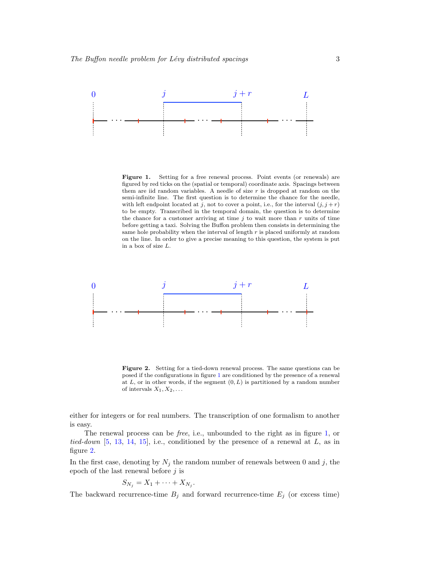

<span id="page-2-0"></span>Figure 1. Setting for a free renewal process. Point events (or renewals) are figured by red ticks on the (spatial or temporal) coordinate axis. Spacings between them are iid random variables. A needle of size  $r$  is dropped at random on the semi-infinite line. The first question is to determine the chance for the needle, with left endpoint located at j, not to cover a point, i.e., for the interval  $(j, j + r)$ to be empty. Transcribed in the temporal domain, the question is to determine the chance for a customer arriving at time  $j$  to wait more than  $r$  units of time before getting a taxi. Solving the Buffon problem then consists in determining the same hole probability when the interval of length  $r$  is placed uniformly at random on the line. In order to give a precise meaning to this question, the system is put in a box of size L.



<span id="page-2-1"></span>Figure 2. Setting for a tied-down renewal process. The same questions can be posed if the configurations in figure [1](#page-2-0) are conditioned by the presence of a renewal at  $L$ , or in other words, if the segment  $(0, L)$  is partitioned by a random number of intervals  $X_1, X_2, \ldots$ 

either for integers or for real numbers. The transcription of one formalism to another is easy.

The renewal process can be free, i.e., unbounded to the right as in figure [1,](#page-2-0) or tied-down [\[5,](#page-19-4) [13,](#page-20-3) [14,](#page-20-4) [15\]](#page-20-5), i.e., conditioned by the presence of a renewal at  $L$ , as in figure [2.](#page-2-1)

In the first case, denoting by  $N_j$  the random number of renewals between 0 and j, the epoch of the last renewal before  $j$  is

$$
S_{N_j}=X_1+\cdots+X_{N_j}.
$$

The backward recurrence-time  $B_j$  and forward recurrence-time  $E_j$  (or excess time)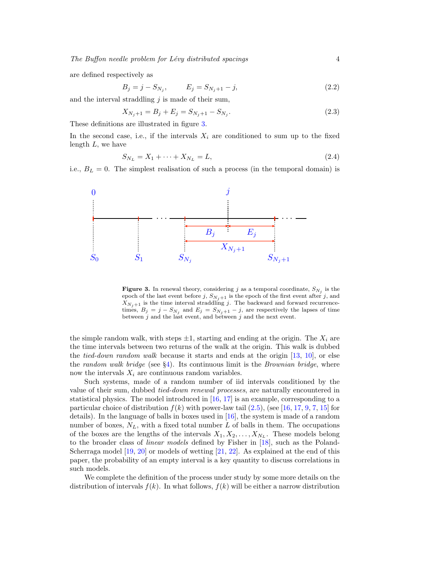are defined respectively as

<span id="page-3-1"></span>
$$
B_j = j - S_{N_j}, \qquad E_j = S_{N_j + 1} - j,\tag{2.2}
$$

and the interval straddling  $j$  is made of their sum,

<span id="page-3-3"></span>
$$
X_{N_j+1} = B_j + E_j = S_{N_j+1} - S_{N_j}.
$$
\n(2.3)

These definitions are illustrated in figure [3.](#page-3-0)

In the second case, i.e., if the intervals  $X_i$  are conditioned to sum up to the fixed length  $L$ , we have

<span id="page-3-2"></span>
$$
S_{N_L} = X_1 + \dots + X_{N_L} = L,\tag{2.4}
$$

i.e.,  $B_L = 0$ . The simplest realisation of such a process (in the temporal domain) is



<span id="page-3-0"></span>**Figure 3.** In renewal theory, considering  $j$  as a temporal coordinate,  $S_{N_j}$  is the epoch of the last event before  $j$ ,  $S_{N_j+1}$  is the epoch of the first event after  $j$ , and  $X_{N_j+1}$  is the time interval straddling j. The backward and forward recurrencetimes,  $B_j = j - S_{N_j}$  and  $E_j = S_{N_j+1} - j$ , are respectively the lapses of time between j and the last event, and between j and the next event.

the simple random walk, with steps  $\pm 1$ , starting and ending at the origin. The  $X_i$  are the time intervals between two returns of the walk at the origin. This walk is dubbed the *tied-down random walk* because it starts and ends at the origin  $[13, 10]$  $[13, 10]$ , or else the random walk bridge (see  $\S4$ ). Its continuous limit is the Brownian bridge, where now the intervals  $X_i$  are continuous random variables.

Such systems, made of a random number of iid intervals conditioned by the value of their sum, dubbed tied-down renewal processes, are naturally encountered in statistical physics. The model introduced in [\[16,](#page-20-6) [17\]](#page-20-7) is an example, corresponding to a particular choice of distribution  $f(k)$  with power-law tail  $(2.5)$ , (see [\[16,](#page-20-6) [17,](#page-20-7) [9,](#page-19-8) [7,](#page-19-6) [15\]](#page-20-5) for details). In the language of balls in boxes used in [\[16\]](#page-20-6), the system is made of a random number of boxes,  $N_L$ , with a fixed total number L of balls in them. The occupations of the boxes are the lengths of the intervals  $X_1, X_2, \ldots, X_{N_L}$ . These models belong to the broader class of linear models defined by Fisher in [\[18\]](#page-20-8), such as the Poland-Scherraga model [\[19,](#page-20-9) [20\]](#page-20-10) or models of wetting [\[21,](#page-20-11) [22\]](#page-20-12). As explained at the end of this paper, the probability of an empty interval is a key quantity to discuss correlations in such models.

We complete the definition of the process under study by some more details on the distribution of intervals  $f(k)$ . In what follows,  $f(k)$  will be either a narrow distribution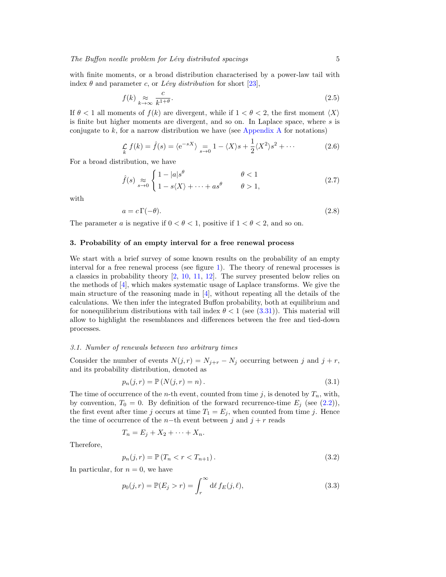with finite moments, or a broad distribution characterised by a power-law tail with index  $\theta$  and parameter c, or *Lévy distribution* for short [\[23\]](#page-20-13),

<span id="page-4-1"></span>
$$
f(k) \underset{k \to \infty}{\approx} \frac{c}{k^{1+\theta}}.\tag{2.5}
$$

If  $\theta < 1$  all moments of  $f(k)$  are divergent, while if  $1 < \theta < 2$ , the first moment  $\langle X \rangle$ is finite but higher moments are divergent, and so on. In Laplace space, where s is conjugate to  $k$ , for a narrow distribution we have (see [Appendix A](#page-18-0) for notations)

$$
\mathcal{L}_{k} f(k) = \hat{f}(s) = \langle e^{-sX} \rangle = \frac{1}{s \to 0} 1 - \langle X \rangle s + \frac{1}{2} \langle X^{2} \rangle s^{2} + \cdots
$$
 (2.6)

For a broad distribution, we have

$$
\hat{f}(s) \underset{s \to 0}{\approx} \begin{cases} 1 - |a|s^{\theta} & \theta < 1 \\ 1 - s\langle X \rangle + \dots + as^{\theta} & \theta > 1, \end{cases}
$$
\n(2.7)

with

<span id="page-4-4"></span>
$$
a = c \Gamma(-\theta). \tag{2.8}
$$

The parameter a is negative if  $0 < \theta < 1$ , positive if  $1 < \theta < 2$ , and so on.

## <span id="page-4-0"></span>3. Probability of an empty interval for a free renewal process

We start with a brief survey of some known results on the probability of an empty interval for a free renewal process (see figure [1\)](#page-2-0). The theory of renewal processes is a classics in probability theory [\[2,](#page-19-1) [10,](#page-20-0) [11,](#page-20-1) [12\]](#page-20-2). The survey presented below relies on the methods of [\[4\]](#page-19-3), which makes systematic usage of Laplace transforms. We give the main structure of the reasoning made in  $[4]$ , without repeating all the details of the calculations. We then infer the integrated Buffon probability, both at equilibrium and for nonequilibrium distributions with tail index  $\theta < 1$  (see [\(3.31\)](#page-9-0)). This material will allow to highlight the resemblances and differences between the free and tied-down processes.

## 3.1. Number of renewals between two arbitrary times

Consider the number of events  $N(j, r) = N_{j+r} - N_j$  occurring between j and  $j + r$ , and its probability distribution, denoted as

<span id="page-4-5"></span>
$$
p_n(j,r) = \mathbb{P}\left(N(j,r) = n\right). \tag{3.1}
$$

The time of occurrence of the *n*-th event, counted from time j, is denoted by  $T_n$ , with, by convention,  $T_0 = 0$ . By definition of the forward recurrence-time  $E_j$  (see [\(2.2\)](#page-3-1)), the first event after time j occurs at time  $T_1 = E_j$ , when counted from time j. Hence the time of occurrence of the n-th event between j and  $j + r$  reads

$$
T_n = E_j + X_2 + \cdots + X_n.
$$

Therefore,

<span id="page-4-2"></span>
$$
p_n(j,r) = \mathbb{P}(T_n < r < T_{n+1}).\tag{3.2}
$$

In particular, for  $n = 0$ , we have

<span id="page-4-3"></span>
$$
p_0(j,r) = \mathbb{P}(E_j > r) = \int_r^{\infty} d\ell f_E(j,\ell),
$$
\n(3.3)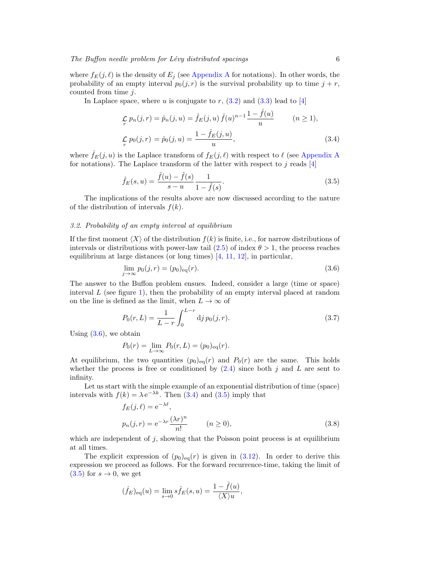where  $f_E(j, \ell)$  is the density of  $E_j$  (see [Appendix A](#page-18-0) for notations). In other words, the probability of an empty interval  $p_0(j, r)$  is the survival probability up to time  $j + r$ , counted from time  $i$ .

In Laplace space, where u is conjugate to r,  $(3.2)$  and  $(3.3)$  lead to [\[4\]](#page-19-3)

<span id="page-5-1"></span>
$$
\mathcal{L}_{r} p_{n}(j,r) = \hat{p}_{n}(j,u) = \hat{f}_{E}(j,u) \hat{f}(u)^{n-1} \frac{1 - \hat{f}(u)}{u} \qquad (n \ge 1),
$$
  

$$
\mathcal{L}_{r} p_{0}(j,r) = \hat{p}_{0}(j,u) = \frac{1 - \hat{f}_{E}(j,u)}{u}, \qquad (3.4)
$$

where  $\hat{f}_E(j, u)$  is the Laplace transform of  $f_E(j, \ell)$  with respect to  $\ell$  (see [Appendix A](#page-18-0) for notations). The Laplace transform of the latter with respect to  $j$  reads  $[4]$ 

<span id="page-5-2"></span>
$$
\hat{f}_E(s, u) = \frac{\hat{f}(u) - \hat{f}(s)}{s - u} \frac{1}{1 - \hat{f}(s)}.
$$
\n(3.5)

The implications of the results above are now discussed according to the nature of the distribution of intervals  $f(k)$ .

## <span id="page-5-5"></span>3.2. Probability of an empty interval at equilibrium

If the first moment  $\langle X \rangle$  of the distribution  $f(k)$  is finite, i.e., for narrow distributions of intervals or distributions with power-law tail  $(2.5)$  of index  $\theta > 1$ , the process reaches equilibrium at large distances (or long times) [\[4,](#page-19-3) [11,](#page-20-1) [12\]](#page-20-2), in particular,

<span id="page-5-0"></span>
$$
\lim_{j \to \infty} p_0(j, r) = (p_0)_{\text{eq}}(r). \tag{3.6}
$$

The answer to the Buffon problem ensues. Indeed, consider a large (time or space) interval  $L$  (see figure [1\)](#page-2-0), then the probability of an empty interval placed at random on the line is defined as the limit, when  $L \to \infty$  of

<span id="page-5-4"></span>
$$
P_0(r,L) = \frac{1}{L-r} \int_0^{L-r} \mathrm{d}j \, p_0(j,r). \tag{3.7}
$$

Using  $(3.6)$ , we obtain

$$
P_0(r) = \lim_{L \to \infty} P_0(r, L) = (p_0)_{\text{eq}}(r).
$$

At equilibrium, the two quantities  $(p_0)_{eq}(r)$  and  $P_0(r)$  are the same. This holds whether the process is free or conditioned by  $(2.4)$  since both j and L are sent to infinity.

Let us start with the simple example of an exponential distribution of time (space) intervals with  $f(k) = \lambda e^{-\lambda k}$ . Then [\(3.4\)](#page-5-1) and [\(3.5\)](#page-5-2) imply that

<span id="page-5-3"></span>
$$
f_E(j, \ell) = e^{-\lambda \ell},
$$
  
\n
$$
p_n(j, r) = e^{-\lambda r} \frac{(\lambda r)^n}{n!} \qquad (n \ge 0),
$$
\n(3.8)

which are independent of  $j$ , showing that the Poisson point process is at equilibrium at all times.

The explicit expression of  $(p_0)_{eq}(r)$  is given in [\(3.12\)](#page-6-0). In order to derive this expression we proceed as follows. For the forward recurrence-time, taking the limit of  $(3.5)$  for  $s \rightarrow 0$ , we get

$$
(\hat{f}_E)_{\text{eq}}(u) = \lim_{s \to 0} s \hat{f}_E(s, u) = \frac{1 - \hat{f}(u)}{\langle X \rangle u},
$$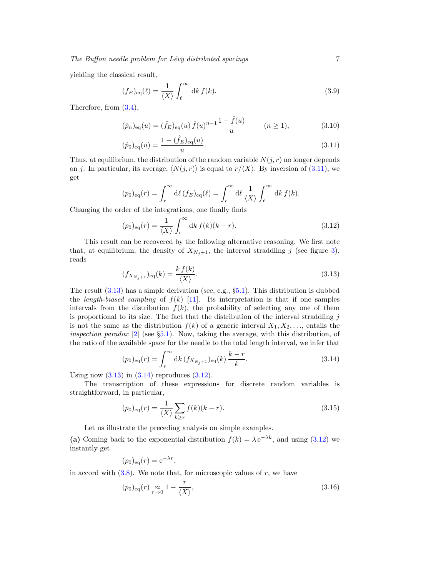yielding the classical result,

<span id="page-6-6"></span>
$$
(f_E)_{\text{eq}}(\ell) = \frac{1}{\langle X \rangle} \int_{\ell}^{\infty} dk f(k).
$$
 (3.9)

Therefore, from [\(3.4\)](#page-5-1),

<span id="page-6-1"></span>
$$
(\hat{p}_n)_{\text{eq}}(u) = (\hat{f}_E)_{\text{eq}}(u) \,\hat{f}(u)^{n-1} \frac{1 - \hat{f}(u)}{u} \qquad (n \ge 1), \tag{3.10}
$$

$$
(\hat{p}_0)_{\text{eq}}(u) = \frac{1 - (\hat{f}_E)_{\text{eq}}(u)}{u}.
$$
\n(3.11)

Thus, at equilibrium, the distribution of the random variable  $N(j, r)$  no longer depends on j. In particular, its average,  $\langle N(j, r) \rangle$  is equal to  $r/\langle X \rangle$ . By inversion of [\(3.11\)](#page-6-1), we get

$$
(p_0)_{\text{eq}}(r) = \int_r^{\infty} d\ell (f_E)_{\text{eq}}(\ell) = \int_r^{\infty} d\ell \frac{1}{\langle X \rangle} \int_{\ell}^{\infty} dk f(k).
$$

Changing the order of the integrations, one finally finds

<span id="page-6-0"></span>
$$
(p_0)_{\text{eq}}(r) = \frac{1}{\langle X \rangle} \int_r^{\infty} dk f(k)(k - r).
$$
 (3.12)

This result can be recovered by the following alternative reasoning. We first note that, at equilibrium, the density of  $X_{N_j+1}$ , the interval straddling j (see figure [3\)](#page-3-0), reads

<span id="page-6-2"></span>
$$
(f_{X_{N_j+1}})_{\text{eq}}(k) = \frac{k f(k)}{\langle X \rangle}.
$$
\n(3.13)

The result  $(3.13)$  has a simple derivation (see, e.g.,  $\S5.1$ ). This distribution is dubbed the length-biased sampling of  $f(k)$  [\[11\]](#page-20-1). Its interpretation is that if one samples intervals from the distribution  $f(k)$ , the probability of selecting any one of them is proportional to its size. The fact that the distribution of the interval straddling  $j$ is not the same as the distribution  $f(k)$  of a generic interval  $X_1, X_2, \ldots$ , entails the *inspection paradox* [\[2\]](#page-19-1) (see §[5.1\)](#page-15-1). Now, taking the average, with this distribution, of the ratio of the available space for the needle to the total length interval, we infer that

<span id="page-6-3"></span>
$$
(p_0)_{\text{eq}}(r) = \int_r^{\infty} dk \, (f_{X_{N_j+1}})_{\text{eq}}(k) \, \frac{k-r}{k}.
$$
 (3.14)

Using now  $(3.13)$  in  $(3.14)$  reproduces  $(3.12)$ .

The transcription of these expressions for discrete random variables is straightforward, in particular,

<span id="page-6-4"></span>
$$
(p_0)_{\text{eq}}(r) = \frac{1}{\langle X \rangle} \sum_{k \ge r} f(k)(k - r).
$$
 (3.15)

Let us illustrate the preceding analysis on simple examples.

(a) Coming back to the exponential distribution  $f(k) = \lambda e^{-\lambda k}$ , and using [\(3.12\)](#page-6-0) we instantly get

$$
(p_0)_{\text{eq}}(r) = e^{-\lambda r},
$$

in accord with  $(3.8)$ . We note that, for microscopic values of r, we have

<span id="page-6-5"></span>
$$
(p_0)_{\text{eq}}(r) \underset{r \to 0}{\approx} 1 - \frac{r}{\langle X \rangle},\tag{3.16}
$$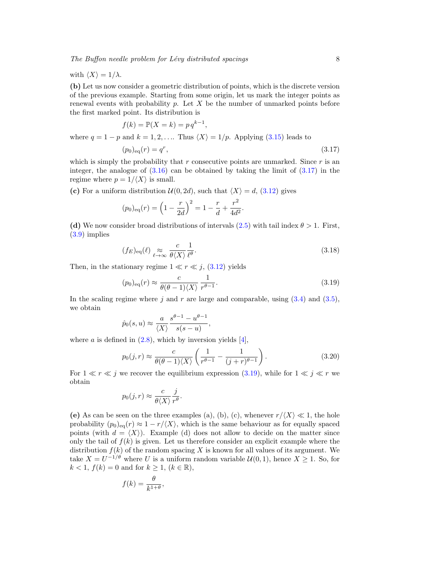with  $\langle X \rangle = 1/\lambda$ .

(b) Let us now consider a geometric distribution of points, which is the discrete version of the previous example. Starting from some origin, let us mark the integer points as renewal events with probability p. Let X be the number of unmarked points before the first marked point. Its distribution is

$$
f(k) = \mathbb{P}(X = k) = p q^{k-1},
$$

where  $q = 1 - p$  and  $k = 1, 2, \ldots$  Thus  $\langle X \rangle = 1/p$ . Applying [\(3.15\)](#page-6-4) leads to

<span id="page-7-0"></span>
$$
(p_0)_{\text{eq}}(r) = q^r,\tag{3.17}
$$

which is simply the probability that  $r$  consecutive points are unmarked. Since  $r$  is an integer, the analogue of  $(3.16)$  can be obtained by taking the limit of  $(3.17)$  in the regime where  $p = 1/\langle X \rangle$  is small.

(c) For a uniform distribution  $\mathcal{U}(0, 2d)$ , such that  $\langle X \rangle = d$ , [\(3.12\)](#page-6-0) gives

$$
(p_0)_{\text{eq}}(r) = \left(1 - \frac{r}{2d}\right)^2 = 1 - \frac{r}{d} + \frac{r^2}{4d^2}.
$$

(d) We now consider broad distributions of intervals [\(2.5\)](#page-4-1) with tail index  $\theta > 1$ . First, [\(3.9\)](#page-6-6) implies

$$
(f_E)_{\text{eq}}(\ell) \underset{\ell \to \infty}{\approx} \frac{c}{\theta \langle X \rangle} \frac{1}{\ell^{\theta}}.
$$
\n(3.18)

Then, in the stationary regime  $1 \ll r \ll j$ , [\(3.12\)](#page-6-0) yields

<span id="page-7-1"></span>
$$
(p_0)_{\text{eq}}(r) \approx \frac{c}{\theta(\theta - 1)\langle X \rangle} \frac{1}{r^{\theta - 1}}.
$$
\n(3.19)

In the scaling regime where j and r are large and comparable, using  $(3.4)$  and  $(3.5)$ , we obtain

$$
\hat{p}_0(s, u) \approx \frac{a}{\langle X \rangle} \frac{s^{\theta - 1} - u^{\theta - 1}}{s(s - u)},
$$

where a is defined in  $(2.8)$ , which by inversion yields [\[4\]](#page-19-3),

<span id="page-7-2"></span>
$$
p_0(j,r) \approx \frac{c}{\theta(\theta-1)\langle X\rangle} \left(\frac{1}{r^{\theta-1}} - \frac{1}{(j+r)^{\theta-1}}\right). \tag{3.20}
$$

For  $1 \ll r \ll j$  we recover the equilibrium expression [\(3.19\)](#page-7-1), while for  $1 \ll j \ll r$  we obtain

$$
p_0(j,r) \approx \frac{c}{\theta \langle X \rangle} \frac{j}{r^{\theta}}.
$$

(e) As can be seen on the three examples (a), (b), (c), whenever  $r/\langle X \rangle \ll 1$ , the hole probability  $(p_0)_{eq}(r) \approx 1 - r/\langle X \rangle$ , which is the same behaviour as for equally spaced points (with  $d = \langle X \rangle$ ). Example (d) does not allow to decide on the matter since only the tail of  $f(k)$  is given. Let us therefore consider an explicit example where the distribution  $f(k)$  of the random spacing X is known for all values of its argument. We take  $X = U^{-1/\theta}$  where U is a uniform random variable  $\mathcal{U}(0, 1)$ , hence  $X \geq 1$ . So, for  $k < 1, f(k) = 0$  and for  $k \geq 1, (k \in \mathbb{R}),$ 

$$
f(k) = \frac{\theta}{k^{1+\theta}},
$$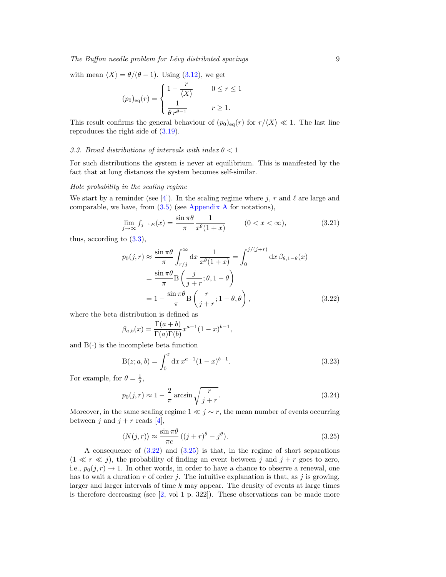# $The$  Buffon needle problem for Lévy distributed spacings  $9$

with mean  $\langle X \rangle = \theta/(\theta - 1)$ . Using [\(3.12\)](#page-6-0), we get

$$
(p_0)_{\text{eq}}(r) = \begin{cases} 1 - \frac{r}{\langle X \rangle} & 0 \le r \le 1 \\ \frac{1}{\theta r^{\theta - 1}} & r \ge 1. \end{cases}
$$

This result confirms the general behaviour of  $(p_0)_{eq}(r)$  for  $r/\langle X \rangle \ll 1$ . The last line reproduces the right side of  $(3.19)$ .

## 3.3. Broad distributions of intervals with index  $\theta < 1$

For such distributions the system is never at equilibrium. This is manifested by the fact that at long distances the system becomes self-similar.

#### Hole probability in the scaling regime

We start by a reminder (see [\[4\]](#page-19-3)). In the scaling regime where j, r and  $\ell$  are large and comparable, we have, from  $(3.5)$  (see [Appendix A](#page-18-0) for notations),

<span id="page-8-3"></span>
$$
\lim_{j \to \infty} f_{j^{-1}E}(x) = \frac{\sin \pi \theta}{\pi} \frac{1}{x^{\theta}(1+x)} \qquad (0 < x < \infty), \tag{3.21}
$$

thus, according to [\(3.3\)](#page-4-3),

<span id="page-8-0"></span>
$$
p_0(j,r) \approx \frac{\sin \pi \theta}{\pi} \int_{r/j}^{\infty} dx \frac{1}{x^{\theta}(1+x)} = \int_0^{j/(j+r)} dx \,\beta_{\theta,1-\theta}(x)
$$
  
= 
$$
\frac{\sin \pi \theta}{\pi} B\left(\frac{j}{j+r}; \theta, 1-\theta\right)
$$
  
= 
$$
1 - \frac{\sin \pi \theta}{\pi} B\left(\frac{r}{j+r}; 1-\theta, \theta\right),
$$
 (3.22)

where the beta distribution is defined as

$$
\beta_{a,b}(x) = \frac{\Gamma(a+b)}{\Gamma(a)\Gamma(b)} x^{a-1} (1-x)^{b-1},
$$

and  $B(.)$  is the incomplete beta function

<span id="page-8-2"></span>
$$
B(z; a, b) = \int_0^z dx \, x^{a-1} (1-x)^{b-1}.
$$
\n(3.23)

For example, for  $\theta = \frac{1}{2}$ ,

$$
p_0(j,r) \approx 1 - \frac{2}{\pi} \arcsin\sqrt{\frac{r}{j+r}}.\tag{3.24}
$$

Moreover, in the same scaling regime  $1 \ll j \sim r$ , the mean number of events occurring between j and  $j + r$  reads [\[4\]](#page-19-3),

<span id="page-8-1"></span>
$$
\langle N(j,r) \rangle \approx \frac{\sin \pi \theta}{\pi c} \left( (j+r)^\theta - j^\theta \right). \tag{3.25}
$$

A consequence of [\(3.22\)](#page-8-0) and [\(3.25\)](#page-8-1) is that, in the regime of short separations  $(1 \ll r \ll j)$ , the probability of finding an event between j and  $j + r$  goes to zero, i.e.,  $p_0(j, r) \rightarrow 1$ . In other words, in order to have a chance to observe a renewal, one has to wait a duration r of order j. The intuitive explanation is that, as j is growing, larger and larger intervals of time  $k$  may appear. The density of events at large times is therefore decreasing (see  $[2, \text{ vol } 1 \text{ p. } 322]$ ). These observations can be made more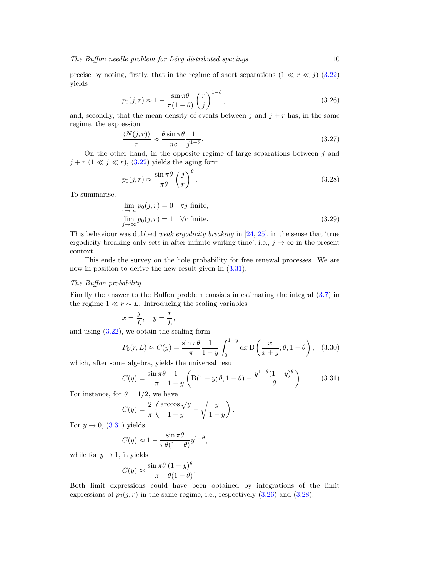precise by noting, firstly, that in the regime of short separations  $(1 \ll r \ll j)$  [\(3.22\)](#page-8-0) yields

<span id="page-9-1"></span>
$$
p_0(j,r) \approx 1 - \frac{\sin \pi \theta}{\pi (1 - \theta)} \left(\frac{r}{j}\right)^{1 - \theta},\tag{3.26}
$$

and, secondly, that the mean density of events between j and  $j + r$  has, in the same regime, the expression

<span id="page-9-3"></span>
$$
\frac{\langle N(j,r) \rangle}{r} \approx \frac{\theta \sin \pi \theta}{\pi c} \frac{1}{j^{1-\theta}}.
$$
\n(3.27)

On the other hand, in the opposite regime of large separations between  $j$  and  $j + r$   $(1 \ll j \ll r)$ ,  $(3.22)$  yields the aging form

<span id="page-9-2"></span>
$$
p_0(j,r) \approx \frac{\sin \pi \theta}{\pi \theta} \left(\frac{j}{r}\right)^{\theta}.
$$
\n(3.28)

To summarise,

<span id="page-9-4"></span>
$$
\lim_{r \to \infty} p_0(j, r) = 0 \quad \forall j \text{ finite},
$$
  

$$
\lim_{j \to \infty} p_0(j, r) = 1 \quad \forall r \text{ finite}.
$$
 (3.29)

This behaviour was dubbed *weak ergodicity breaking* in  $[24, 25]$  $[24, 25]$ , in the sense that 'true ergodicity breaking only sets in after infinite waiting time', i.e.,  $j \to \infty$  in the present context.

This ends the survey on the hole probability for free renewal processes. We are now in position to derive the new result given in  $(3.31)$ .

## The Buffon probability

Finally the answer to the Buffon problem consists in estimating the integral [\(3.7\)](#page-5-4) in the regime  $1 \ll r \sim L$ . Introducing the scaling variables

$$
x = \frac{j}{L}, \quad y = \frac{r}{L},
$$

and using  $(3.22)$ , we obtain the scaling form

<span id="page-9-5"></span>
$$
P_0(r,L) \approx C(y) = \frac{\sin \pi \theta}{\pi} \frac{1}{1-y} \int_0^{1-y} dx \, \mathrm{B}\left(\frac{x}{x+y}; \theta, 1-\theta\right), \quad (3.30)
$$

which, after some algebra, yields the universal result

<span id="page-9-0"></span>
$$
C(y) = \frac{\sin \pi \theta}{\pi} \frac{1}{1 - y} \left( B(1 - y; \theta, 1 - \theta) - \frac{y^{1 - \theta} (1 - y)^{\theta}}{\theta} \right).
$$
 (3.31)

For instance, for  $\theta = 1/2$ , we have

$$
C(y) = \frac{2}{\pi} \left( \frac{\arccos\sqrt{y}}{1-y} - \sqrt{\frac{y}{1-y}} \right).
$$

For  $y \rightarrow 0$ , [\(3.31\)](#page-9-0) yields

$$
C(y) \approx 1 - \frac{\sin \pi \theta}{\pi \theta (1 - \theta)} y^{1 - \theta},
$$

while for  $y \to 1$ , it yields

$$
C(y) \approx \frac{\sin \pi \theta}{\pi} \frac{(1-y)^{\theta}}{\theta(1+\theta)}.
$$

Both limit expressions could have been obtained by integrations of the limit expressions of  $p_0(j, r)$  in the same regime, i.e., respectively  $(3.26)$  and  $(3.28)$ .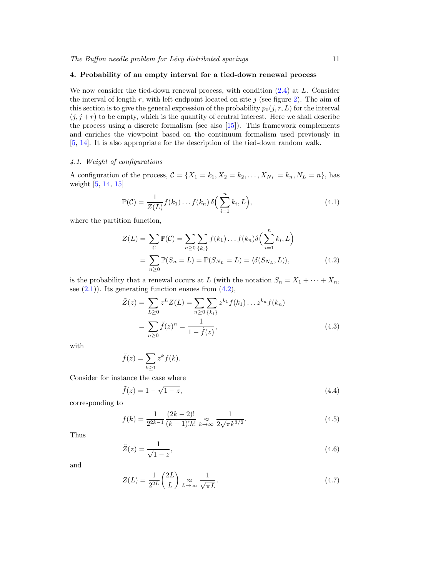## <span id="page-10-0"></span>4. Probability of an empty interval for a tied-down renewal process

We now consider the tied-down renewal process, with condition  $(2.4)$  at L. Consider the interval of length  $r$ , with left endpoint located on site j (see figure [2\)](#page-2-1). The aim of this section is to give the general expression of the probability  $p_0(j, r, L)$  for the interval  $(j, j + r)$  to be empty, which is the quantity of central interest. Here we shall describe the process using a discrete formalism (see also [\[15\]](#page-20-5)). This framework complements and enriches the viewpoint based on the continuum formalism used previously in [\[5,](#page-19-4) [14\]](#page-20-4). It is also appropriate for the description of the tied-down random walk.

# <span id="page-10-5"></span>4.1. Weight of configurations

A configuration of the process,  $C = \{X_1 = k_1, X_2 = k_2, \ldots, X_{N_L} = k_n, N_L = n\}$ , has weight [\[5,](#page-19-4) [14,](#page-20-4) [15\]](#page-20-5)

<span id="page-10-6"></span>
$$
\mathbb{P}(\mathcal{C}) = \frac{1}{Z(L)} f(k_1) \dots f(k_n) \delta\left(\sum_{i=1}^n k_i, L\right),\tag{4.1}
$$

where the partition function,

<span id="page-10-1"></span>
$$
Z(L) = \sum_{\mathcal{C}} \mathbb{P}(\mathcal{C}) = \sum_{n \ge 0} \sum_{\{k_i\}} f(k_1) \dots f(k_n) \delta\left(\sum_{i=1}^n k_i, L\right)
$$
  
= 
$$
\sum_{n \ge 0} \mathbb{P}(S_n = L) = \mathbb{P}(S_{N_L} = L) = \langle \delta(S_{N_L}, L) \rangle,
$$
 (4.2)

is the probability that a renewal occurs at L (with the notation  $S_n = X_1 + \cdots + X_n$ , see  $(2.1)$ . Its generating function ensues from  $(4.2)$ ,

<span id="page-10-2"></span>
$$
\tilde{Z}(z) = \sum_{L \ge 0} z^L Z(L) = \sum_{n \ge 0} \sum_{\{k_i\}} z^{k_1} f(k_1) \dots z^{k_n} f(k_n)
$$

$$
= \sum_{n \ge 0} \tilde{f}(z)^n = \frac{1}{1 - \tilde{f}(z)},
$$
(4.3)

with

$$
\tilde{f}(z) = \sum_{k \ge 1} z^k f(k).
$$

Consider for instance the case where

$$
\tilde{f}(z) = 1 - \sqrt{1 - z},\tag{4.4}
$$

corresponding to

<span id="page-10-3"></span>
$$
f(k) = \frac{1}{2^{2k-1}} \frac{(2k-2)!}{(k-1)!k!} \underset{k \to \infty}{\approx} \frac{1}{2\sqrt{\pi}k^{3/2}}.
$$
 (4.5)

Thus

$$
\tilde{Z}(z) = \frac{1}{\sqrt{1-z}},\tag{4.6}
$$

and

<span id="page-10-4"></span>
$$
Z(L) = \frac{1}{2^{2L}} \binom{2L}{L} \underset{L \to \infty}{\approx} \frac{1}{\sqrt{\pi L}}.
$$
\n(4.7)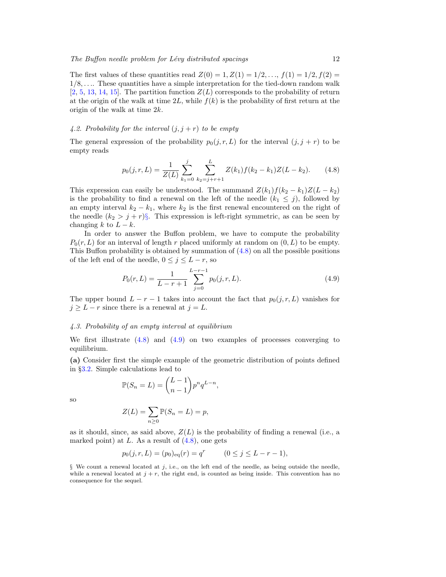The first values of these quantities read  $Z(0) = 1, Z(1) = 1/2, ..., f(1) = 1/2, f(2) =$  $1/8, \ldots$  These quantities have a simple interpretation for the tied-down random walk  $[2, 5, 13, 14, 15]$  $[2, 5, 13, 14, 15]$  $[2, 5, 13, 14, 15]$  $[2, 5, 13, 14, 15]$  $[2, 5, 13, 14, 15]$  $[2, 5, 13, 14, 15]$  $[2, 5, 13, 14, 15]$  $[2, 5, 13, 14, 15]$  $[2, 5, 13, 14, 15]$ . The partition function  $Z(L)$  corresponds to the probability of return at the origin of the walk at time  $2L$ , while  $f(k)$  is the probability of first return at the origin of the walk at time 2k.

# 4.2. Probability for the interval  $(j, j + r)$  to be empty

The general expression of the probability  $p_0(j, r, L)$  for the interval  $(j, j + r)$  to be empty reads

<span id="page-11-1"></span>
$$
p_0(j,r,L) = \frac{1}{Z(L)} \sum_{k_1=0}^j \sum_{k_2=j+r+1}^L Z(k_1) f(k_2 - k_1) Z(L - k_2).
$$
 (4.8)

This expression can easily be understood. The summand  $Z(k_1)f(k_2 - k_1)Z(L - k_2)$ is the probability to find a renewal on the left of the needle  $(k_1 \leq j)$ , followed by an empty interval  $k_2 - k_1$ , where  $k_2$  is the first renewal encountered on the right of the needle  $(k_2 > j + r)\S$ . This expression is left-right symmetric, as can be seen by changing k to  $L - k$ .

In order to answer the Buffon problem, we have to compute the probability  $P_0(r, L)$  for an interval of length r placed uniformly at random on  $(0, L)$  to be empty. This Buffon probability is obtained by summation of  $(4.8)$  on all the possible positions of the left end of the needle,  $0 \le j \le L - r$ , so

<span id="page-11-2"></span>
$$
P_0(r,L) = \frac{1}{L-r+1} \sum_{j=0}^{L-r-1} p_0(j,r,L).
$$
\n(4.9)

The upper bound  $L - r - 1$  takes into account the fact that  $p_0(j, r, L)$  vanishes for  $j \geq L - r$  since there is a renewal at  $j = L$ .

#### <span id="page-11-3"></span>4.3. Probability of an empty interval at equilibrium

We first illustrate [\(4.8\)](#page-11-1) and [\(4.9\)](#page-11-2) on two examples of processes converging to equilibrium.

(a) Consider first the simple example of the geometric distribution of points defined in §[3.2.](#page-5-5) Simple calculations lead to

$$
\mathbb{P}(S_n = L) = \binom{L-1}{n-1} p^n q^{L-n},
$$

so

$$
Z(L) = \sum_{n\geq 0} \mathbb{P}(S_n = L) = p,
$$

as it should, since, as said above,  $Z(L)$  is the probability of finding a renewal (i.e., a marked point) at  $L$ . As a result of  $(4.8)$ , one gets

$$
p_0(j, r, L) = (p_0)_{\text{eq}}(r) = q^r \qquad (0 \le j \le L - r - 1),
$$

<span id="page-11-0"></span> $\S$  We count a renewal located at j, i.e., on the left end of the needle, as being outside the needle, while a renewal located at  $j + r$ , the right end, is counted as being inside. This convention has no consequence for the sequel.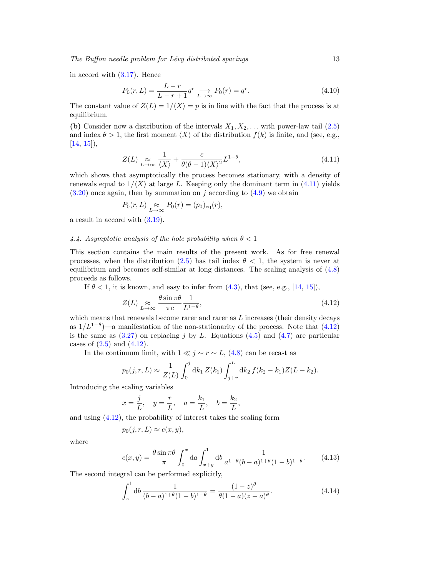The Buffon needle problem for  $Lévy$  distributed spacings  $13$ 

in accord with [\(3.17\)](#page-7-0). Hence

$$
P_0(r, L) = \frac{L - r}{L - r + 1} q^r \xrightarrow[L \to \infty]{} P_0(r) = q^r.
$$
\n(4.10)

The constant value of  $Z(L) = 1/\langle X \rangle = p$  is in line with the fact that the process is at equilibrium.

(b) Consider now a distribution of the intervals  $X_1, X_2, \ldots$  with power-law tail [\(2.5\)](#page-4-1) and index  $\theta > 1$ , the first moment  $\langle X \rangle$  of the distribution  $f(k)$  is finite, and (see, e.g.,  $[14, 15]$  $[14, 15]$  $[14, 15]$ ,

<span id="page-12-1"></span>
$$
Z(L) \underset{L \to \infty}{\approx} \frac{1}{\langle X \rangle} + \frac{c}{\theta(\theta - 1)\langle X \rangle^2} L^{1-\theta}, \tag{4.11}
$$

which shows that asymptotically the process becomes stationary, with a density of renewals equal to  $1/\langle X \rangle$  at large L. Keeping only the dominant term in [\(4.11\)](#page-12-1) yields  $(3.20)$  once again, then by summation on j according to  $(4.9)$  we obtain

$$
P_0(r,L) \underset{L \to \infty}{\approx} P_0(r) = (p_0)_{\text{eq}}(r),
$$

a result in accord with [\(3.19\)](#page-7-1).

## <span id="page-12-0"></span>4.4. Asymptotic analysis of the hole probability when  $\theta < 1$

This section contains the main results of the present work. As for free renewal processes, when the distribution [\(2.5\)](#page-4-1) has tail index  $\theta$  < 1, the system is never at equilibrium and becomes self-similar at long distances. The scaling analysis of [\(4.8\)](#page-11-1) proceeds as follows.

If  $\theta < 1$ , it is known, and easy to infer from  $(4.3)$ , that (see, e.g., [\[14,](#page-20-4) [15\]](#page-20-5)),

<span id="page-12-2"></span>
$$
Z(L) \underset{L \to \infty}{\approx} \frac{\theta \sin \pi \theta}{\pi c} \frac{1}{L^{1-\theta}},
$$
\n(4.12)

which means that renewals become rarer and rarer as  $L$  increases (their density decays as  $1/L^{1-\theta}$ )—a manifestation of the non-stationarity of the process. Note that [\(4.12\)](#page-12-2) is the same as  $(3.27)$  on replacing j by L. Equations  $(4.5)$  and  $(4.7)$  are particular cases of  $(2.5)$  and  $(4.12)$ .

In the continuum limit, with  $1 \ll j \sim r \sim L$ , [\(4.8\)](#page-11-1) can be recast as

$$
p_0(j, r, L) \approx \frac{1}{Z(L)} \int_0^j dk_1 Z(k_1) \int_{j+r}^L dk_2 f(k_2 - k_1) Z(L - k_2).
$$

Introducing the scaling variables

$$
x = \frac{j}{L}
$$
,  $y = \frac{r}{L}$ ,  $a = \frac{k_1}{L}$ ,  $b = \frac{k_2}{L}$ ,

and using [\(4.12\)](#page-12-2), the probability of interest takes the scaling form

$$
p_0(j, r, L) \approx c(x, y),
$$

where

$$
c(x,y) = \frac{\theta \sin \pi \theta}{\pi} \int_0^x da \int_{x+y}^1 db \frac{1}{a^{1-\theta}(b-a)^{1+\theta}(1-b)^{1-\theta}}.
$$
 (4.13)

The second integral can be performed explicitly,

$$
\int_{z}^{1} \mathrm{d}b \, \frac{1}{(b-a)^{1+\theta}(1-b)^{1-\theta}} = \frac{(1-z)^{\theta}}{\theta(1-a)(z-a)^{\theta}}.
$$
\n(4.14)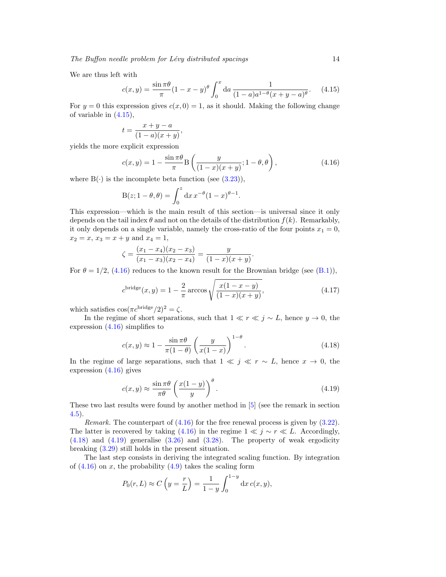We are thus left with

<span id="page-13-3"></span>
$$
c(x,y) = \frac{\sin \pi \theta}{\pi} (1 - x - y)^{\theta} \int_0^x \mathrm{d}a \, \frac{1}{(1 - a)a^{1 - \theta} (x + y - a)^{\theta}}. \tag{4.15}
$$

For  $y = 0$  this expression gives  $c(x, 0) = 1$ , as it should. Making the following change of variable in [\(4.15\)](#page-13-3),

$$
t = \frac{x+y-a}{(1-a)(x+y)},
$$

yields the more explicit expression

<span id="page-13-0"></span>
$$
c(x,y) = 1 - \frac{\sin \pi \theta}{\pi} \mathcal{B}\left(\frac{y}{(1-x)(x+y)}; 1-\theta, \theta\right),
$$
 (4.16)

where  $B(\cdot)$  is the incomplete beta function (see  $(3.23)$ ),

$$
B(z; 1 - \theta, \theta) = \int_0^z dx \, x^{-\theta} (1 - x)^{\theta - 1}.
$$

This expression—which is the main result of this section—is universal since it only depends on the tail index  $\theta$  and not on the details of the distribution  $f(k)$ . Remarkably, it only depends on a single variable, namely the cross-ratio of the four points  $x_1 = 0$ ,  $x_2 = x$ ,  $x_3 = x + y$  and  $x_4 = 1$ ,

$$
\zeta = \frac{(x_1 - x_4)(x_2 - x_3)}{(x_1 - x_3)(x_2 - x_4)} = \frac{y}{(1 - x)(x + y)}.
$$

For  $\theta = 1/2$ , [\(4.16\)](#page-13-0) reduces to the known result for the Brownian bridge (see [\(B.1\)](#page-19-9)),

<span id="page-13-4"></span>
$$
c^{\text{bridge}}(x,y) = 1 - \frac{2}{\pi} \arccos \sqrt{\frac{x(1-x-y)}{(1-x)(x+y)}},
$$
\n(4.17)

which satisfies  $\cos(\pi c^{\text{bridge}}/2)^2 = \zeta$ .

In the regime of short separations, such that  $1 \ll r \ll j \sim L$ , hence  $y \to 0$ , the expression  $(4.16)$  simplifies to

<span id="page-13-1"></span>
$$
c(x,y) \approx 1 - \frac{\sin \pi \theta}{\pi (1-\theta)} \left(\frac{y}{x(1-x)}\right)^{1-\theta}.
$$
 (4.18)

In the regime of large separations, such that  $1 \ll j \ll r \sim L$ , hence  $x \to 0$ , the expression [\(4.16\)](#page-13-0) gives

<span id="page-13-2"></span>
$$
c(x,y) \approx \frac{\sin \pi \theta}{\pi \theta} \left( \frac{x(1-y)}{y} \right)^{\theta}.
$$
 (4.19)

These two last results were found by another method in [\[5\]](#page-19-4) (see the remark in section [4.5\)](#page-14-1).

*Remark.* The counterpart of  $(4.16)$  for the free renewal process is given by  $(3.22)$ . The latter is recovered by taking [\(4.16\)](#page-13-0) in the regime  $1 \ll j \sim r \ll L$ . Accordingly,  $(4.18)$  and  $(4.19)$  generalise  $(3.26)$  and  $(3.28)$ . The property of weak ergodicity breaking [\(3.29\)](#page-9-4) still holds in the present situation.

The last step consists in deriving the integrated scaling function. By integration of  $(4.16)$  on x, the probability  $(4.9)$  takes the scaling form

$$
P_0(r, L) \approx C\left(y = \frac{r}{L}\right) = \frac{1}{1 - y} \int_0^{1 - y} dx \, c(x, y),
$$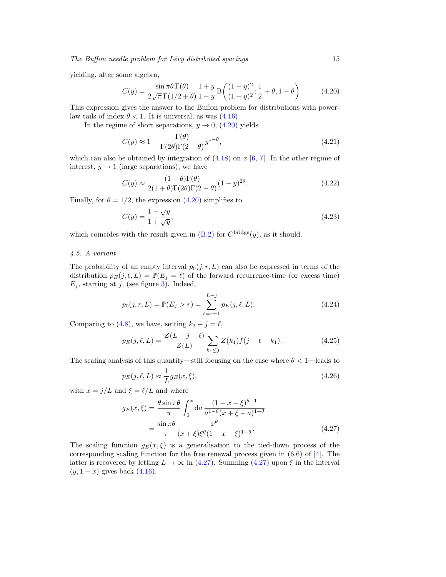yielding, after some algebra,

<span id="page-14-0"></span>
$$
C(y) = \frac{\sin \pi \theta \Gamma(\theta)}{2\sqrt{\pi} \Gamma(1/2 + \theta)} \frac{1+y}{1-y} B\left(\frac{(1-y)^2}{(1+y)^2}; \frac{1}{2} + \theta, 1 - \theta\right). \tag{4.20}
$$

This expression gives the answer to the Buffon problem for distributions with powerlaw tails of index  $\theta < 1$ . It is universal, as was [\(4.16\)](#page-13-0).

In the regime of short separations,  $y \to 0$ , [\(4.20\)](#page-14-0) yields

$$
C(y) \approx 1 - \frac{\Gamma(\theta)}{\Gamma(2\theta)\Gamma(2-\theta)} y^{1-\theta},\tag{4.21}
$$

which can also be obtained by integration of  $(4.18)$  on x [\[6,](#page-19-5) [7\]](#page-19-6). In the other regime of interest,  $y \rightarrow 1$  (large separations), we have

$$
C(y) \approx \frac{(1-\theta)\Gamma(\theta)}{2(1+\theta)\Gamma(2\theta)\Gamma(2-\theta)}(1-y)^{2\theta}.
$$
\n(4.22)

Finally, for  $\theta = 1/2$ , the expression [\(4.20\)](#page-14-0) simplifies to

<span id="page-14-5"></span>
$$
C(y) = \frac{1 - \sqrt{y}}{1 + \sqrt{y}},\tag{4.23}
$$

which coincides with the result given in  $(B.2)$  for  $C^{\text{bridge}}(y)$ , as it should.

# <span id="page-14-1"></span>4.5. A variant

The probability of an empty interval  $p_0(j, r, L)$  can also be expressed in terms of the distribution  $p_E(j, \ell, L) = \mathbb{P}(E_j = \ell)$  of the forward recurrence-time (or excess time)  $E_j$ , starting at j, (see figure [3\)](#page-3-0). Indeed,

<span id="page-14-3"></span>
$$
p_0(j, r, L) = \mathbb{P}(E_j > r) = \sum_{\ell=r+1}^{L-j} p_E(j, \ell, L).
$$
 (4.24)

Comparing to [\(4.8\)](#page-11-1), we have, setting  $k_2 - j = \ell$ ,

<span id="page-14-4"></span>
$$
p_E(j, \ell, L) = \frac{Z(L - j - \ell)}{Z(L)} \sum_{k_1 \le j} Z(k_1) f(j + \ell - k_1).
$$
 (4.25)

The scaling analysis of this quantity—still focusing on the case where  $\theta < 1$ —leads to

$$
p_E(j, \ell, L) \approx \frac{1}{L} g_E(x, \xi), \tag{4.26}
$$

with  $x = j/L$  and  $\xi = \ell/L$  and where

<span id="page-14-2"></span>
$$
g_E(x,\xi) = \frac{\theta \sin \pi \theta}{\pi} \int_0^x \mathrm{d}a \, \frac{(1-x-\xi)^{\theta-1}}{a^{1-\theta}(x+\xi-a)^{1+\theta}}
$$

$$
= \frac{\sin \pi \theta}{\pi} \frac{x^{\theta}}{(x+\xi)\xi^{\theta}(1-x-\xi)^{1-\theta}}.
$$
(4.27)

The scaling function  $g_E(x, \xi)$  is a generalisation to the tied-down process of the corresponding scaling function for the free renewal process given in  $(6.6)$  of  $[4]$ . The latter is recovered by letting  $L \to \infty$  in [\(4.27\)](#page-14-2). Summing (4.27) upon  $\xi$  in the interval  $(y, 1 - x)$  gives back  $(4.16)$ .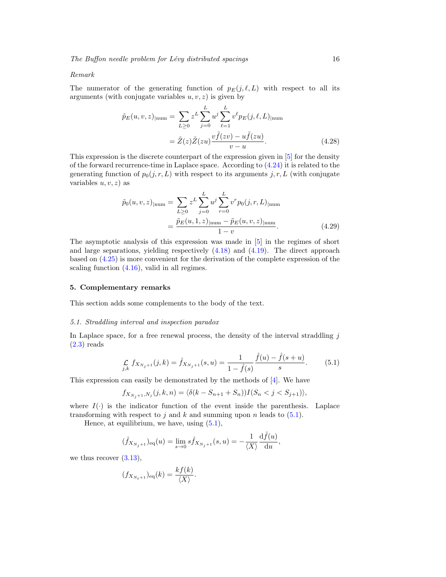#### Remark

The numerator of the generating function of  $p_E(j, \ell, L)$  with respect to all its arguments (with conjugate variables  $u, v, z$ ) is given by

$$
\tilde{p}_E(u, v, z)_{\text{num}} = \sum_{L \ge 0} z^L \sum_{j=0}^L u^j \sum_{\ell=1}^L v^{\ell} p_E(j, \ell, L)_{\text{num}}
$$

$$
= \tilde{Z}(z) \tilde{Z}(zu) \frac{v \tilde{f}(zv) - u \tilde{f}(zu)}{v - u}.
$$
(4.28)

This expression is the discrete counterpart of the expression given in [\[5\]](#page-19-4) for the density of the forward recurrence-time in Laplace space. According to [\(4.24\)](#page-14-3) it is related to the generating function of  $p_0(j, r, L)$  with respect to its arguments j, r, L (with conjugate variables  $u, v, z$  as

$$
\tilde{p}_0(u, v, z)_{|\text{num}} = \sum_{L \ge 0} z^L \sum_{j=0}^L u^j \sum_{r=0}^L v^r p_0(j, r, L)_{|\text{num}} \n= \frac{\tilde{p}_E(u, 1, z)_{|\text{num}} - \tilde{p}_E(u, v, z)_{|\text{num}}}{1 - v}.
$$
\n(4.29)

The asymptotic analysis of this expression was made in [\[5\]](#page-19-4) in the regimes of short and large separations, yielding respectively [\(4.18\)](#page-13-1) and [\(4.19\)](#page-13-2). The direct approach based on [\(4.25\)](#page-14-4) is more convenient for the derivation of the complete expression of the scaling function [\(4.16\)](#page-13-0), valid in all regimes.

# <span id="page-15-0"></span>5. Complementary remarks

This section adds some complements to the body of the text.

### <span id="page-15-1"></span>5.1. Straddling interval and inspection paradox

In Laplace space, for a free renewal process, the density of the interval straddling  $j$  $(2.3)$  reads

<span id="page-15-2"></span>
$$
\underset{j,k}{\mathcal{L}} f_{X_{N_j+1}}(j,k) = \hat{f}_{X_{N_j+1}}(s,u) = \frac{1}{1-\hat{f}(s)} \frac{\hat{f}(u) - \hat{f}(s+u)}{s}.
$$
 (5.1)

This expression can easily be demonstrated by the methods of [\[4\]](#page-19-3). We have

$$
f_{X_{N_j+1},N_j}(j,k,n) = \langle \delta(k - S_{n+1} + S_n) \rangle I(S_n < j < S_{j+1}) \rangle,
$$

where  $I(\cdot)$  is the indicator function of the event inside the parenthesis. Laplace transforming with respect to j and k and summing upon n leads to  $(5.1)$ .

Hence, at equilibrium, we have, using [\(5.1\)](#page-15-2),

$$
(\hat{f}_{X_{N_j+1}})_{\text{eq}}(u) = \lim_{s \to 0} s \hat{f}_{X_{N_j+1}}(s, u) = -\frac{1}{\langle X \rangle} \frac{\mathrm{d}\hat{f}(u)}{\mathrm{d}u},
$$

we thus recover  $(3.13)$ ,

$$
(f_{X_{N_t+1}})_{\text{eq}}(k) = \frac{kf(k)}{\langle X \rangle}.
$$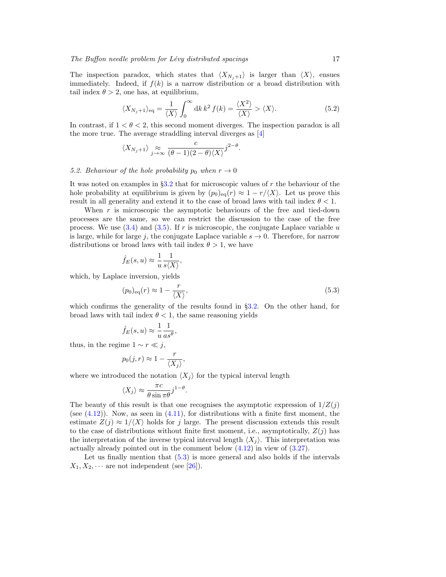The inspection paradox, which states that  $\langle X_{N_j+1} \rangle$  is larger than  $\langle X \rangle$ , ensues immediately. Indeed, if  $f(k)$  is a narrow distribution or a broad distribution with tail index  $\theta > 2$ , one has, at equilibrium,

$$
\langle X_{N_j+1} \rangle_{\text{eq}} = \frac{1}{\langle X \rangle} \int_0^\infty \mathrm{d}k \, k^2 \, f(k) = \frac{\langle X^2 \rangle}{\langle X \rangle} > \langle X \rangle. \tag{5.2}
$$

.

In contrast, if  $1 < \theta < 2$ , this second moment diverges. The inspection paradox is all the more true. The average straddling interval diverges as [\[4\]](#page-19-3)

$$
\langle X_{N_j+1} \rangle \underset{j \to \infty}{\approx} \frac{c}{(\theta-1)(2-\theta)\langle X \rangle} j^{2-\theta}
$$

,

#### 5.2. Behaviour of the hole probability  $p_0$  when  $r \to 0$

It was noted on examples in  $\S 3.2$  $\S 3.2$  that for microscopic values of r the behaviour of the hole probability at equilibrium is given by  $(p_0)_{eq}(r) \approx 1 - r/\langle X \rangle$ . Let us prove this result in all generality and extend it to the case of broad laws with tail index  $\theta < 1$ .

When  $r$  is microscopic the asymptotic behaviours of the free and tied-down processes are the same, so we can restrict the discussion to the case of the free process. We use  $(3.4)$  and  $(3.5)$ . If r is microscopic, the conjugate Laplace variable u is large, while for large j, the conjugate Laplace variable  $s \to 0$ . Therefore, for narrow distributions or broad laws with tail index  $\theta > 1$ , we have

$$
\hat{f}_E(s, u) \approx \frac{1}{u} \frac{1}{s \langle X \rangle}
$$

which, by Laplace inversion, yields

<span id="page-16-0"></span>
$$
(p_0)_{\text{eq}}(r) \approx 1 - \frac{r}{\langle X \rangle},\tag{5.3}
$$

which confirms the generality of the results found in §[3.2.](#page-5-5) On the other hand, for broad laws with tail index  $\theta < 1$ , the same reasoning yields

$$
\hat{f}_E(s,u) \approx \frac{1}{u} \frac{1}{as^{\theta}},
$$

thus, in the regime  $1 \sim r \ll j$ ,

$$
p_0(j,r) \approx 1 - \frac{r}{\langle X_j \rangle},
$$

where we introduced the notation  $\langle X_j \rangle$  for the typical interval length

$$
\langle X_j \rangle \approx \frac{\pi c}{\theta \sin \pi \theta} j^{1-\theta}.
$$

The beauty of this result is that one recognises the asymptotic expression of  $1/Z(j)$ (see  $(4.12)$ ). Now, as seen in  $(4.11)$ , for distributions with a finite first moment, the estimate  $Z(j) \approx 1/\langle X \rangle$  holds for j large. The present discussion extends this result to the case of distributions without finite first moment, i.e., asymptotically,  $Z(j)$  has the interpretation of the inverse typical interval length  $\langle X_i \rangle$ . This interpretation was actually already pointed out in the comment below [\(4.12\)](#page-12-2) in view of [\(3.27\)](#page-9-3).

Let us finally mention that  $(5.3)$  is more general and also holds if the intervals  $X_1, X_2, \cdots$  are not independent (see [\[26\]](#page-21-0)).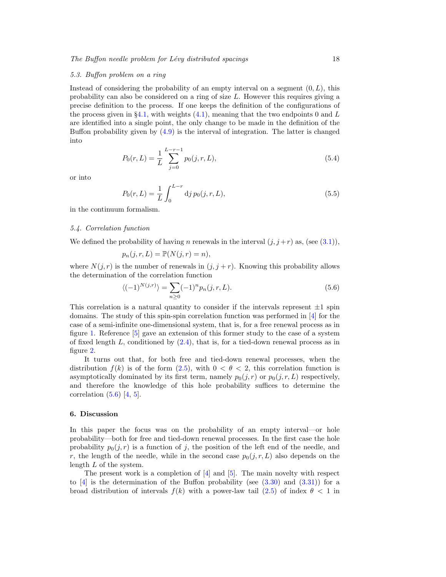#### 5.3. Buffon problem on a ring

Instead of considering the probability of an empty interval on a segment  $(0, L)$ , this probability can also be considered on a ring of size L. However this requires giving a precise definition to the process. If one keeps the definition of the configurations of the process given in §[4.1,](#page-10-5) with weights  $(4.1)$ , meaning that the two endpoints 0 and L are identified into a single point, the only change to be made in the definition of the Buffon probability given by  $(4.9)$  is the interval of integration. The latter is changed into

$$
P_0(r,L) = \frac{1}{L} \sum_{j=0}^{L-r-1} p_0(j,r,L),
$$
\n(5.4)

or into

$$
P_0(r, L) = \frac{1}{L} \int_0^{L-r} \mathrm{d}j \, p_0(j, r, L),\tag{5.5}
$$

in the continuum formalism.

#### 5.4. Correlation function

We defined the probability of having n renewals in the interval  $(j, j + r)$  as, (see [\(3.1\)](#page-4-5)),

$$
p_n(j,r,L) = \mathbb{P}(N(j,r) = n),
$$

where  $N(j, r)$  is the number of renewals in  $(j, j + r)$ . Knowing this probability allows the determination of the correlation function

<span id="page-17-1"></span>
$$
\langle (-1)^{N(j,r)} \rangle = \sum_{n \ge 0} (-1)^n p_n(j,r,L). \tag{5.6}
$$

This correlation is a natural quantity to consider if the intervals represent  $\pm 1$  spin domains. The study of this spin-spin correlation function was performed in [\[4\]](#page-19-3) for the case of a semi-infinite one-dimensional system, that is, for a free renewal process as in figure [1.](#page-2-0) Reference [\[5\]](#page-19-4) gave an extension of this former study to the case of a system of fixed length L, conditioned by  $(2.4)$ , that is, for a tied-down renewal process as in figure [2.](#page-2-1)

It turns out that, for both free and tied-down renewal processes, when the distribution  $f(k)$  is of the form  $(2.5)$ , with  $0 < \theta < 2$ , this correlation function is asymptotically dominated by its first term, namely  $p_0(j, r)$  or  $p_0(j, r, L)$  respectively, and therefore the knowledge of this hole probability suffices to determine the correlation  $(5.6)$   $[4, 5]$  $[4, 5]$ .

#### <span id="page-17-0"></span>6. Discussion

In this paper the focus was on the probability of an empty interval—or hole probability—both for free and tied-down renewal processes. In the first case the hole probability  $p_0(j, r)$  is a function of j, the position of the left end of the needle, and r, the length of the needle, while in the second case  $p_0(j, r, L)$  also depends on the length L of the system.

The present work is a completion of  $[4]$  and  $[5]$ . The main novelty with respect to  $\boxed{4}$  is the determination of the Buffon probability (see [\(3.30\)](#page-9-5) and [\(3.31\)](#page-9-0)) for a broad distribution of intervals  $f(k)$  with a power-law tail [\(2.5\)](#page-4-1) of index  $\theta < 1$  in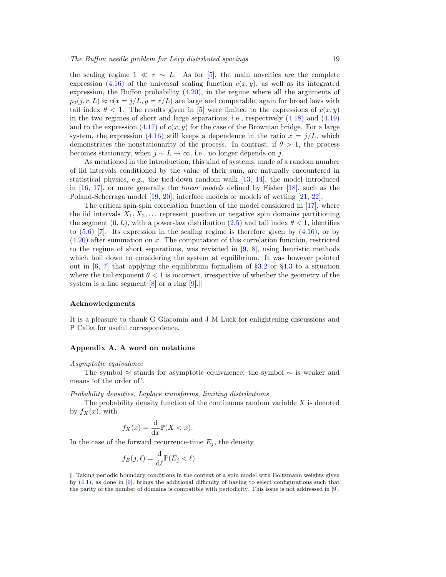the scaling regime  $1 \ll r \sim L$ . As for [\[5\]](#page-19-4), the main novelties are the complete expression [\(4.16\)](#page-13-0) of the universal scaling function  $c(x, y)$ , as well as its integrated expression, the Buffon probability [\(4.20\)](#page-14-0), in the regime where all the arguments of  $p_0(i, r, L) \approx c(x = j/L, y = r/L)$  are large and comparable, again for broad laws with tail index  $\theta < 1$ . The results given in [\[5\]](#page-19-4) were limited to the expressions of  $c(x, y)$ in the two regimes of short and large separations, i.e., respectively [\(4.18\)](#page-13-1) and [\(4.19\)](#page-13-2) and to the expression [\(4.17\)](#page-13-4) of  $c(x, y)$  for the case of the Brownian bridge. For a large system, the expression [\(4.16\)](#page-13-0) still keeps a dependence in the ratio  $x = j/L$ , which demonstrates the nonstationarity of the process. In contrast, if  $\theta > 1$ , the process becomes stationary, when  $j \sim L \to \infty$ , i.e., no longer depends on j.

As mentioned in the Introduction, this kind of systems, made of a random number of iid intervals conditioned by the value of their sum, are naturally encountered in statistical physics, e.g., the tied-down random walk [\[13,](#page-20-3) [14\]](#page-20-4), the model introduced in [\[16,](#page-20-6) [17\]](#page-20-7), or more generally the linear models defined by Fisher [\[18\]](#page-20-8), such as the Poland-Scherraga model [\[19,](#page-20-9) [20\]](#page-20-10), interface models or models of wetting [\[21,](#page-20-11) [22\]](#page-20-12).

The critical spin-spin correlation function of the model considered in [\[17\]](#page-20-7), where the iid intervals  $X_1, X_2, \ldots$  represent positive or negative spin domains partitioning the segment  $(0, L)$ , with a power-law distribution  $(2.5)$  and tail index  $\theta < 1$ , identifies to  $(5.6)$  [\[7\]](#page-19-6). Its expression in the scaling regime is therefore given by  $(4.16)$ , or by  $(4.20)$  after summation on x. The computation of this correlation function, restricted to the regime of short separations, was revisited in [\[9,](#page-19-8) [8\]](#page-19-7), using heuristic methods which boil down to considering the system at equilibrium. It was however pointed out in  $[6, 7]$  $[6, 7]$  that applying the equilibrium formalism of §[3.2](#page-5-5) or §[4.3](#page-11-3) to a situation where the tail exponent  $\theta < 1$  is incorrect, irrespective of whether the geometry of the system is a line segment  $[8]$  or a ring  $[9]$ .

# Acknowledgments

It is a pleasure to thank G Giacomin and J M Luck for enlightening discussions and P Calka for useful correspondence.

## <span id="page-18-0"></span>Appendix A. A word on notations

#### Asymptotic equivalence

The symbol ≈ stands for asymptotic equivalence; the symbol  $\sim$  is weaker and means 'of the order of'.

#### Probability densities, Laplace transforms, limiting distributions

The probability density function of the continuous random variable  $X$  is denoted by  $f_X(x)$ , with

$$
f_X(x) = \frac{\mathrm{d}}{\mathrm{d}x} \mathbb{P}(X < x).
$$

In the case of the forward recurrence-time  $E_j$ , the density

$$
f_E(j,\ell) = \frac{\mathrm{d}}{\mathrm{d}\ell} \mathbb{P}(E_j < \ell)
$$

<span id="page-18-1"></span> $\parallel$  Taking periodic boundary conditions in the context of a spin model with Boltzmann weights given by  $(4.1)$ , as done in [\[9\]](#page-19-8), brings the additional difficulty of having to select configurations such that the parity of the number of domains is compatible with periodicity. This issue is not addressed in [\[9\]](#page-19-8).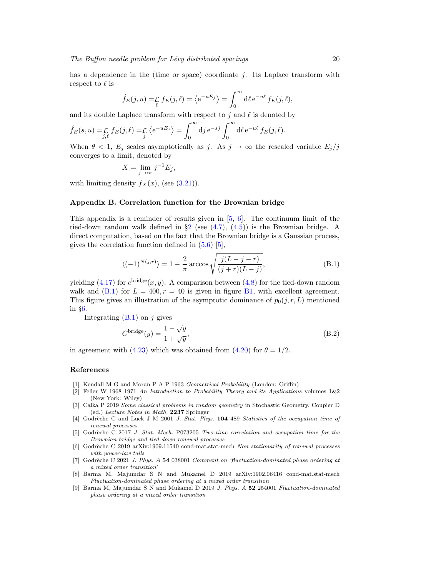$$
\hat{f}_E(j, u) = \mathcal{L}_{\ell} f_E(j, \ell) = \langle e^{-uE_j} \rangle = \int_0^{\infty} d\ell \, e^{-u\ell} f_E(j, \ell),
$$

and its double Laplace transform with respect to j and  $\ell$  is denoted by

$$
\hat{f}_E(s, u) = \mathcal{L}_{j, \ell} f_E(j, \ell) = \mathcal{L}_{j} \langle e^{-uE_j} \rangle = \int_0^\infty d j e^{-sj} \int_0^\infty d \ell e^{-u\ell} f_E(j, \ell).
$$

When  $\theta < 1$ ,  $E_j$  scales asymptotically as j. As  $j \to \infty$  the rescaled variable  $E_j/j$ converges to a limit, denoted by

$$
X = \lim_{j \to \infty} j^{-1} E_j,
$$

with limiting density  $f_X(x)$ , (see [\(3.21\)](#page-8-3)).

# Appendix B. Correlation function for the Brownian bridge

This appendix is a reminder of results given in  $[5, 6]$  $[5, 6]$ . The continuum limit of the tied-down random walk defined in  $\S2$  $\S2$  (see  $(4.7)$ ,  $(4.5)$ ) is the Brownian bridge. A direct computation, based on the fact that the Brownian bridge is a Gaussian process, gives the correlation function defined in [\(5.6\)](#page-17-1) [\[5\]](#page-19-4),

<span id="page-19-9"></span>
$$
\langle (-1)^{N(j,r)} \rangle = 1 - \frac{2}{\pi} \arccos \sqrt{\frac{j(L-j-r)}{(j+r)(L-j)}},
$$
\n(B.1)

yielding  $(4.17)$  for  $c^{\text{bridge}}(x, y)$ . A comparison between  $(4.8)$  for the tied-down random walk and [\(B.1\)](#page-19-9) for  $L = 400, r = 40$  is given in figure [B1,](#page-20-16) with excellent agreement. This figure gives an illustration of the asymptotic dominance of  $p_0(j, r, L)$  mentioned in §[6.](#page-17-0)

Integrating  $(B.1)$  on j gives

<span id="page-19-10"></span>
$$
C^{\text{bridge}}(y) = \frac{1 - \sqrt{y}}{1 + \sqrt{y}},
$$
\n(B.2)

in agreement with [\(4.23\)](#page-14-5) which was obtained from [\(4.20\)](#page-14-0) for  $\theta = 1/2$ .

#### References

- <span id="page-19-0"></span>[1] Kendall M G and Moran P A P 1963 Geometrical Probability (London: Griffin)
- <span id="page-19-1"></span>[2] Feller W 1968 1971 An Introduction to Probability Theory and its Applications volumes 1&2 (New York: Wiley)
- <span id="page-19-2"></span>[3] Calka P 2019 Some classical problems in random geometry in Stochastic Geometry, Coupier D (ed.) Lecture Notes in Math. 2237 Springer
- <span id="page-19-3"></span>[4] Godrèche C and Luck J M 2001 J. Stat. Phys. 104 489 Statistics of the occupation time of renewal processes
- <span id="page-19-4"></span>[5] Godrèche C 2017 J. Stat. Mech. P073205 Two-time correlation and occupation time for the Brownian bridge and tied-down renewal processes
- <span id="page-19-5"></span>[6] Godrèche C 2019 arXiv:1909.11540 cond-mat.stat-mech Non stationarity of renewal processes with power-law tails
- <span id="page-19-6"></span>[7] Godrèche C 2021 J. Phys. A 54 038001 Comment on 'fluctuation-dominated phase ordering at a mixed order transition'
- <span id="page-19-7"></span>[8] Barma M, Majumdar S N and Mukamel D 2019 arXiv:1902.06416 cond-mat.stat-mech Fluctuation-dominated phase ordering at a mixed order transition
- <span id="page-19-8"></span>[9] Barma M, Majumdar S N and Mukamel D 2019 J. Phys. A 52 254001 Fluctuation-dominated phase ordering at a mixed order transition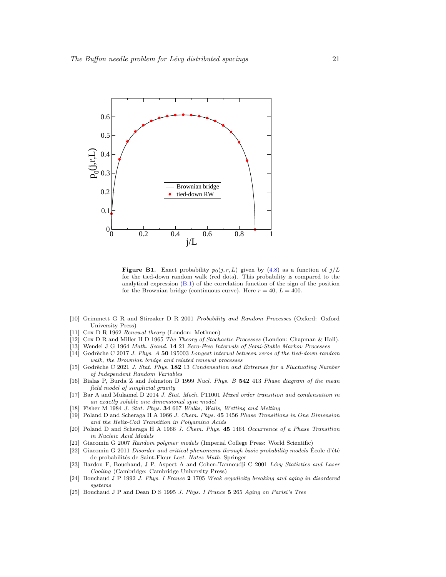

<span id="page-20-16"></span>**Figure B1.** Exact probability  $p_0(j, r, L)$  given by [\(4.8\)](#page-11-1) as a function of  $j/L$ for the tied-down random walk (red dots). This probability is compared to the analytical expression [\(B.1\)](#page-19-9) of the correlation function of the sign of the position for the Brownian bridge (continuous curve). Here  $r = 40$ ,  $L = 400$ .

- <span id="page-20-0"></span>[10] Grimmett G R and Stirzaker D R 2001 Probability and Random Processes (Oxford: Oxford University Press)
- <span id="page-20-1"></span>[11] Cox D R 1962 Renewal theory (London: Methuen)
- <span id="page-20-2"></span>[12] Cox D R and Miller H D 1965 The Theory of Stochastic Processes (London: Chapman & Hall).
- <span id="page-20-3"></span>[13] Wendel J G 1964 Math. Scand. 14 21 Zero-Free Intervals of Semi-Stable Markov Processes
- <span id="page-20-4"></span>[14] Godrèche C 2017 J. Phys. A 50 195003 Longest interval between zeros of the tied-down random walk, the Brownian bridge and related renewal processes
- <span id="page-20-5"></span>[15] Godrèche C 2021 J. Stat. Phys. 182 13 Condensation and Extremes for a Fluctuating Number of Independent Random Variables
- <span id="page-20-6"></span>[16] Bialas P, Burda Z and Johnston D 1999 Nucl. Phys. B 542 413 Phase diagram of the mean field model of simplicial gravity
- <span id="page-20-7"></span>[17] Bar A and Mukamel D 2014 J. Stat. Mech. P11001 Mixed order transition and condensation in an exactly soluble one dimensional spin model
- <span id="page-20-8"></span>[18] Fisher M 1984 J. Stat. Phys. 34 667 Walks, Walls, Wetting and Melting
- <span id="page-20-9"></span>[19] Poland D and Scheraga H A 1966 J. Chem. Phys. 45 1456 Phase Transitions in One Dimension and the Helix-Coil Transition in Polyamino Acids
- <span id="page-20-10"></span>[20] Poland D and Scheraga H A 1966 J. Chem. Phys. 45 1464 Occurrence of a Phase Transition in Nucleic Acid Models
- <span id="page-20-11"></span>[21] Giacomin G 2007 Random polymer models (Imperial College Press: World Scientific)
- <span id="page-20-12"></span> $[22]$  Giacomin G 2011 Disorder and critical phenomena through basic probability models École d'été de probabilités de Saint-Flour Lect. Notes Math. Springer
- <span id="page-20-13"></span>[23] Bardou F, Bouchaud, J P, Aspect A and Cohen-Tannoudji C 2001 Lévy Statistics and Laser Cooling (Cambridge: Cambridge University Press)
- <span id="page-20-14"></span>[24] Bouchaud J P 1992 J. Phys. I France 2 1705 Weak ergodicity breaking and aging in disordered systems
- <span id="page-20-15"></span>[25] Bouchaud J P and Dean D S 1995 J. Phys. I France 5 265 Aging on Parisi's Tree